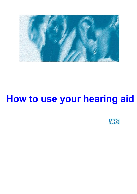

# **How to use your hearing aid**

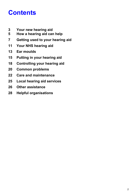# **Contents**

- **3 Your new hearing aid**
- **5 How a hearing aid can help**
- **7 Getting used to your hearing aid**
- **11 Your NHS hearing aid**
- **13 Ear moulds**
- **15 Putting in your hearing aid**
- **18 Controlling your hearing aid**
- **20 Common problems**
- **22 Care and maintenance**
- **25 Local hearing aid services**
- **26 Other assistance**
- **28 Helpful organisations**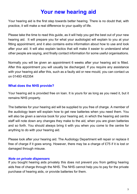# **Your new hearing aid**

Your hearing aid is the first step towards better hearing. There is no doubt that, with practice, it will make a real difference to your quality of life.

Please take the time to read this guide, as it will help you get the best out of your new hearing aid. It will prepare you for what your audiologist will explain to you at your fitting appointment, and it also contains extra information about how to use and look after your aid. It will also explain tactics that will make it easier to understand what other people are saying, and finally contact information for some useful organisations.

Normally you will be given an appointment 6 weeks after your hearing aid is fitted. After this appointment you will usually be discharged. If you require any assistance with your hearing aid after this, such as a faulty aid or new mould, you can contact us on 01493 452354

# **What does the NHS provide?**

Your hearing aid is provided free on loan. It is yours for as long as you need it, but it remains NHS property.

The batteries for your hearing aid will be supplied to you free of charge. A member of the audiology team will explain how to get new batteries when you need them. You will also be given a service book for your hearing aid, in which the hearing aid centre staff will note down any changes they make to the aid, when you are given batteries and so forth. You should always bring it with you when you come to the centre for anything to do with your hearing aid.

Please look after your hearing aid. The Audiology Department will repair or replace it free of charge if it goes wrong. However, there may be a charge of £75 if it is lost or damaged through misuse.

### *Note on private dispensers*

If you bought hearing aids privately this does not prevent you from getting hearing aids free of charge through the NHS. The NHS cannot help you to pay for the private purchase of hearing aids, or provide batteries for them.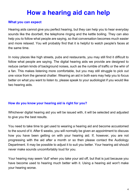# **How a hearing aid can help**

### **What you can expect**

Hearing aids cannot give you perfect hearing, but they can help you to hear everyday sounds like the doorbell, the telephone ringing and the kettle boiling. They can also help you to follow what people are saying, so that conversation becomes much easier and more relaxed. You will probably find that it is helpful to watch people's faces at the same time.

In noisy places like high streets, pubs and restaurants, you may still find it difficult to follow what people are saying. The digital hearing aids we provide are designed to reduce certain kinds of background noises, such as the rumble of traffic or the whir of a fan. This makes listening more comfortable, but you may still struggle to pick out one voice from the general chatter. Wearing an aid in both ears may help you to focus better on what you want to listen to, please speak to your audiologist if you would like two hearing aids.

# **How do you know your hearing aid is right for you?**

Whichever digital hearing aid you will be issued with, it will be selected and adjusted to give you the best results.

You need to take time to get used to wearing a hearing aid and become accustomed to the sound of it. After 6 weeks, you will normally be given an appointment to discuss how you have been getting on with your hearing aid. If, however, you are not progressing with the aid after a month or so then please contact the Audiology Department. It may be possible to adjust it to suit you better. Your hearing aid should never make sounds uncomfortably loud for you.

Your hearing may seem 'dull' when you take your aid off, but that is just because you have become used to hearing much better with it. Using a hearing aid won't make your hearing worse.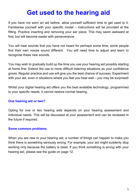# **Get used to the hearing aid**

If you have not worn an aid before, allow yourself sufficient time to get used to it. Familiarise yourself with your specific model – instructions will be provided at the fitting. Practice inserting and removing your ear piece. This may seem awkward at first, but will become easier with perseverance.

You will hear sounds that you have not heard for perhaps some time; some people find their own voices sound different. You will need time to adjust and learn to recognise these new sounds.

You may wish to gradually build up the time you use your hearing aid possibly starting at home first. Extend the use to more difficult listening situations as your confidence grows. Regular practice and use will give you the best chance of success. Experiment with your aid, even in situations where you feel you hear well – you may be surprised!

Whilst your digital hearing aid offers you the best available technology, programmed to your specific needs, it cannot restore normal hearing.

### **One hearing aid or two?**

Opting for one or two hearing aids depends on your hearing assessment and individual needs. This will be discussed at your assessment and can be reviewed in the future if required.

#### **Some common problems**

When you are new to your hearing aid, a number of things can happen to make you think there is something seriously wrong. For example, your aid might suddenly stop working only because the battery is dead. If you think something is wrong with your hearing aid, please see the guide on page 12.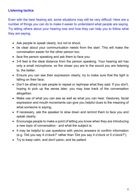# **Listening tactics**

Even with the best hearing aid, some situations may still be very difficult. Here are a number of things you can do to make it easier to understand what people are saying. Try telling others about your hearing loss and how they can help you to follow what they are saying.

- Ask people to speak clearly, but not to shout;
- · be clear about your communication needs from the start. This will make the conversation easier for the other person too;
- face the person speaking and ask them to face you;
- · 3-6 feet is the ideal distance from the person speaking. Your hearing aid has only a small microphone, so the closer you are to the sound you are listening to, the better;
- · Ensure you can see their expression clearly, try to make sure that the light is falling on their face;
- Don't be afraid to ask people to repeat or rephrase what they said. If you don't, hoping to pick up the sense later, you may lose track of the conversation altogether;
- · Make use of what you can see as well as what you can hear. Gestures, facial expression and mouth movements can give you helpful clues to the meaning of what someone is saying;
- · If necessary, ask the speaker to slow down and remind them to face you and speak clearly;
- · Encourage people to make a point of letting you know when they are introducing a new topic of conversation - and what the subject is;
- · It may be helpful to use questions with yes/no answers to confirm information (e.g. 'Did you say 4 o'clock?' rather than 'Did you say 4 o'clock or 5 o'clock?');
- · Try to keep calm, and don't panic; and be patient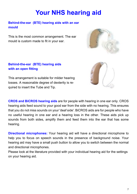# **Your NHS hearing aid**

**Behind-the-ear (BTE) hearing aids with an ear mould**

This is the most common arrangement. The ear mould is custom made to fit in your ear.







This arrangement is suitable for milder hearing losses. A reasonable degree of dexterity is required to insert the Tube and Tip.

**CROS and BiCROS hearing aids** are for people with hearing in one ear only. CROS hearing aids feed sound to your good ear from the side with no hearing. This ensures that you do not miss sounds on your 'deaf side'. BiCROS aids are for people who have no useful hearing in one ear and a hearing loss in the other. These aids pick up sounds from both sides, amplify them and feed them into the ear that has some hearing.

**Directional microphones:** Your hearing aid will have a directional microphone to help you to focus on speech sounds in the presence of background noise. Your hearing aid may have a small push button to allow you to switch between the normal and directional microphones.

Please look at the literature provided with your individual hearing aid for the settings on your hearing aid.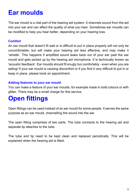# **Ear moulds**

The ear mould is a vital part of the hearing aid system. It channels sound from the aid into your ear and can affect the quality of what you hear. Sometimes ear moulds can be modified to help you hear better, depending on your hearing loss.

### **Comfort**

An ear mould that doesn't fit well or is difficult to put in place properly will not only be uncomfortable, but will make your hearing aid less effective, and may make it 'whistle'. This happens if amplified sound leaks back out of your ear past the ear mould and gets picked up by the hearing aid microphone. It is technically known as 'acoustic feedback'. Ear moulds should fit snugly but comfortably - even when you are eating! If your ear mould is causing discomfort or if you find it very difficult to put in or keep in place, please book an appointment.

# **Adding features to your ear mould**

You can make a feature of your ear moulds, for example made in bold colours or with glitter. There may be a small charge for this service.

# **Open fittings**

Open fittings can be used instead of an ear mould for some people. It serves the same purpose as an ear mould, channelling the sound into the ear.

The open fitting comprises of two parts. The tube connects to the hearing aid and separate tip attaches to the tube.

The tube and tip need to be kept clean and replaced periodically. This will be explained when the hearing aid is fitted.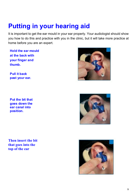# **Putting in your hearing aid**

It is important to get the ear mould in your ear properly. Your audiologist should show you how to do this and practice with you in the clinic, but it will take more practice at home before you are an expert.

**Hold the ear mould at the back with your finger and thumb.**

**Pull it back past your ear.**

**Put the bit that goes down the ear canal into position.**

**Then insert the bit that goes into the top of the ear**





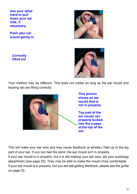**Use your other hand to pull down your ear lobe, if necessary.**

**Push your ear mould gently in.**

**Correctly fitted aid**



Your method may be different. This does not matter as long as the ear mould and hearing aid are fitting correctly.



This will make your ear sore and may cause feedback (a whistle). Feel up to the top part of your ear. If you can feel the point, the ear mould isn't in properly.

If your ear mould is in properly, but it is still making your ear sore, tell your audiology department (see page 25). They may be able to make the mould more comfortable. If your ear mould is in properly, but you are still getting feedback, please see the guide on page 20.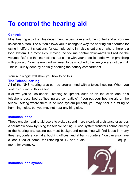# **To control the hearing aid**

### **Controls**

Most hearing aids that this department issues have a volume control and a program selection button. The button allows you to change to way the hearing aid operates for using in different situations, for example using in noisy situations or where there is a loop system. On most aids, moving the volume control downwards will reduce the volume. Refer to the instructions that came with your specific model when practicing with your aid. Your hearing aid will need to be switched off when you are not using it. This is usually done by partially opening the battery compartment.

Your audiologist will show you how to do this.

### **The Telecoil setting**

All of the NHS hearing aids can be programmed with a telecoil setting. When you switch your aid to this setting,

it allows you to use special listening equipment, such as an 'induction loop' or a telephone described as 'hearing aid compatible'. If you put your hearing aid on the telecoil setting where there is no loop system present, you may hear a buzzing or humming noise, but you may not hear anything else.

### **Induction loops**

These enable hearing aid users to pickup sound more clearly at a distance or across a counter window by using the telecoil setting. A loop system transfers sound directly to the hearing aid, cutting out most background noise. You will find loops in many theatres, conference halls, booking offices, and at bank counters. You can also have a loop fitted at home, for listening to TV and audio equipment, for example.

### **Induction loop symbol**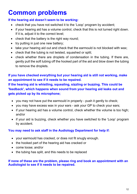# **Common problems**

# **If the hearing aid doesn't seem to be working:**

- check that you have not switched it to the 'Loop' program by accident:
- · if your hearing aid has a volume control, check that this is not turned right down. If it is, adjust it to the correct level;
- check that the battery is the right way round;
- try putting in just one new battery;
- take your hearing aid out and check that the earmould is not blocked with wax;
- check that the tubing is not twisted, squashed or split;
- · check whether there are droplets of condensation in the tubing. If there are, gently pull the soft tubing off the hooked part of the aid and blow down the tubing to remove the droplets.

# **If you have checked everything but your hearing aid is still not working, make an appointment to see if it needs to be repaired.**

**If the hearing aid is whistling, squealing, sizzling or buzzing. This could be 'feedback', which happens when sound from your hearing aid leaks out and gets picked up by its microphone;**

- · you may not have put the earmould in properly push it gently to check;
- · you may have excess wax in your ears ask your GP to check your ears;
- if your hearing aid has a volume control, check whether the volume is too high; and/or
- if your aid is buzzing, check whether you have switched to the 'Loop' program by accident.

# **You may need to ask staff in the Audiology Department for help if:**

- · your earmould has cracked, or does not fit snugly enough.
- · the hooked part of the hearing aid has cracked or
- · come loose; and/or
- the tubing has split, and this needs to be replaced

### **If none of these are the problem, please ring and book an appointment with an Audiologist to see if it needs to be repaired.**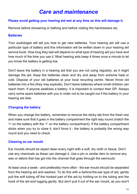# *Care and maintenance*

### **Please avoid getting your hearing aid wet at any time as this will damage it.**

Remove before showering or bathing and before visiting the hairdressers etc.

# **Batteries**

Your audiologist will tell you how to get new batteries. Your hearing aid will use a particular type of battery and this information will be written down in your hearing aid service book. How long they last will depend on what type of hearing aid you have and how much of the time you use it. Most hearing aids beep 4 times once a minute to let you know the battery is getting low.

Don't leave the battery in a hearing aid that you are not using regularly, as it might damage the aid. Keep the batteries clean and dry and away from extreme heat or cold. Dispose of your old batteries at your local recycling centre. Never throw old batteries into a fire (they may explode). Don't leave batteries where small children can reach them. If anyone swallows a battery, it is important to contact their GP. Always carry some spare batteries with you in order not to be caught out if the battery in your hearing aid dies.

# **Changing the battery**

When you change the battery, remember to remove the sticky tab from the fresh one and make sure that it goes in the battery compartment the right way round (match the '+' on the battery with the '+' on the battery compartment). If the battery compartment sticks when you try to close it, don't force it - the battery is probably the wrong way round and you need to check.

# **Cleaning an ear mould**

Ear moulds should be wiped clean every night with a soft, dry cloth or tissue. Don't use any chemicals as these can damage it. Use a pin or similar item to remove any wax or debris that has got into the channel that goes through the earmould.

At least once a week - and preferably more often - the ear mould should be separated from the hearing aid and washed. To do this with a behind-the-ear type of aid, gently pull the soft tubing off the hooked part of the aid by holding on to the tubing and the hook of the aid and tugging gently. But don't pull it out of the ear mould, as you won't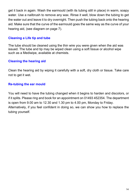get it back in again. Wash the earmould (with its tubing still in place) in warm, soapy water. Use a nailbrush to remove any wax. Rinse it well, blow down the tubing to get the water out and leave it to dry overnight. Then push the tubing back onto the hearing aid. Make sure that the curve of the earmould goes the same way as the curve of your hearing aid, (see diagram on page 7).

# **Cleaning a Life tip and tube**

The tube should be cleaned using the thin wire you were given when the aid was issued. The tube and tip may be wiped clean using a soft tissue or alcohol wipe such as a Mediwipe, available at chemists.

# **Cleaning the hearing aid**

Clean the hearing aid by wiping it carefully with a soft, dry cloth or tissue. Take care not to get it wet.

# **Re-tubing the ear mould**

You will need to have the tubing changed when it begins to harden and discolors, or if it splits. Please ring and book for an appointment on 01493 452354. The department is open from 9.00 am to 12.30 and 1.30 pm to 4.00 pm, Monday to Friday. Alternatively, if you feel confident in doing so, we can show you how to replace the tubing yourself.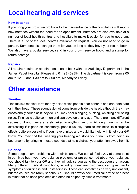# **Local hearing aid services**

### **New batteries**

If you bring your brown record book to the main entrance of the hospital we will supply new batteries without the need for an appointment. Batteries are also available at a number of local health centres and hospitals to make it easier for you to get them. There is a list of the local centres available on request. You do not need to go in person. Someone else can get them for you, as long as they have your record book. We also have a postal service; send in your brown service book, and a stamp for return postage.

### **Repairs**

All repairs require an appointment please book with the Audiology Department in the James Paget Hospital. Please ring 01493 452354. The department is open from 9.00 am to 12.30 and 1.30 pm to 4.00 pm, Monday to Friday.

# **Other assistance**

### **Tinnitus**

Tinnitus is a medical term for any noise which people hear either in one ear, both ears or in their head. These sounds do not come from outside the head, although they may occasionally sound as if they do. You may hear a ringing, buzzing, whistling or rushing noise. Tinnitus is quite common and can develop at any age. There are many different causes of it and they are rarely linked to anything serious. Although tinnitus can be distressing if it goes on constantly, people usually learn to minimise its disruptive effects quite successfully. If you have tinnitus and would like help with it, let your GP know. You may find that wearing your hearing aid stops your tinnitus from being so bothersome by bringing in extra sounds that help distract your attention away from it.

### **Balance**

Some people have problems with their balance. We can all feel dizzy at some point in our lives but if you have balance problems or are concerned about your balance, you should talk to your GP and they will advise you as to the best course of action. Many different medical conditions, including inner ear disorders, can give rise to symptoms of dizziness and unsteadiness. These can sometimes be very unpleasant, but the causes are rarely serious. You should always seek medical advice and bear in mind that balance problems can often be helped by simple treatments.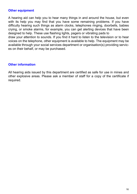#### **Other equipment**

A hearing aid can help you to hear many things in and around the house, but even with its help you may find that you have some remaining problems. If you have difficulty hearing such things as alarm clocks, telephones ringing, doorbells, babies crying, or smoke alarms, for example, you can get alerting devices that have been designed to help. These use flashing lights, pagers or vibrating pads to draw your attention to sounds. If you find it hard to listen to the television or to hear voices on the telephone, other equipment is available to help. The equipment may be available through your social services department or organisation(s) providing services on their behalf, or may be purchased.

### **Other information**

All hearing aids issued by this department are certified as safe for use in mines and other explosive areas. Please ask a member of staff for a copy of the certificate if required.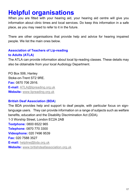# **Helpful organisations**

When you are fitted with your hearing aid, your hearing aid centre will give you information about clinic times and local services. Do keep this information in a safe place, as you may need to refer to it in the future.

There are other organisations that provide help and advice for hearing impaired people. We list the main ones below.

# **Association of Teachers of Lip-reading to Adults (ATLA)**

The ATLA can provide information about local lip-reading classes. These details may also be obtainable from your local Audiology Department.

PO Box 506, Hanley Stoke-on-Trent ST2 9RE. **Fax:** 0870 706 2916. **E-mail:** [ATLA@lipreading.org.uk](mailto:ATLA@lipreading.org.uk) **Website:** [www.lipreading.org.uk](http://www.lipreading.org.uk )

### **British Deaf Association (BDA)**

The BDA provides help and support to deaf people, with particular focus on signlanguage users. They can provide information on a range of subjects such as welfare benefits, education and the Disability Discrimination Act (DDA). 1-3 Worship Street, London EC2A 2AB **Textphone:** 0800 6522 965 **Telephone:** 0870 770 3300 **Videophone:** 020 7496 9539 **Fax:** 020 7588 3527 **E-mail:** [helpline@bda.org.uk](mailto:helpline@bda.org.uk ) **Website:** [www.britishdeafassociation.org.uk](http://www.britishdeafassociation.org.uk)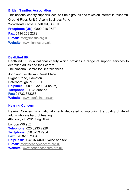### **British Tinnitus Association**

This national charity supports local self-help groups and takes an interest in research. Ground Floor, Unit 5, Acorn Business Park, Woodseats Close, Sheffield, S8 0TB **Freephone (UK):** 0800 018 0527 **Fax:** 0114 258 2279 **E-mail:** [info@tinnitus.org.uk](mailto:info@tinnitus.org.uk ) **Website:** [www.tinnitus.org.uk](http://www.tinnitus.org.uk)

#### **Deafblind UK**

Deafblind UK is a national charity which provides a range of support services to deafblind adults and their carers.

The National Centre for Deafblindness

John and Lucille van Geest Place Cygnet Road, Hampton Peterborough PE7 8FD **Helpline:** 0800 132320 (24 hours) **Textphone:** 01733 358858 **Fax:** 01733 358356 **Website:** [www.deafblind.org.uk](http://www.deafblind.org.uk)

### **Hearing Concern**

Hearing Concern is a national charity dedicated to improving the quality of life of adults who are hard of hearing. 4th floor, 275-281 King Street

London W6 9LZ **Telephone:** 020 8233 2929 **Textphone:** 020 8233 2934 **Fax:** 020 8233 2934 **HelpDesk:** 0845 0744600 (voice and text) **E-mail:** [info@hearingconcern.org.uk](mailto:info@hearingconcern.org.uk ) **Website:** [www.hearingconcern.org.uk](http://www.hearingconcern.org.uk)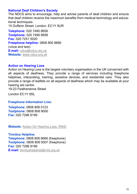#### **National Deaf Children's Society**

The NDCS aims to encourage, help and advise parents of deaf children and ensure that deaf children receive the maximum benefits from medical technology and educational techniques.

15 Dufferin Street, London, EC1Y 8UR

**Telephone:** 020 7490 8656 **Textphone:** 020 7490 8656 **Fax:** 020 7251 5020 **Freephone helpline:** 0808 800 8880 (voice and text) **E-mail:** [ndcs@ndcs.org.uk](mailto:ndcs@ndcs.org.uk) **Website:** [www.ndcs.org.uk](http://www.ndcs.org.uk)

#### **Action on Hearing Loss**

Action on Hearing Loss is the largest voluntary organisation in the UK concerned with all aspects of deafness. They provide a range of services including freephone helplines, interpreting, training, assistive devices, and residential care. They also provide a range of leaflets on all aspects of deafness which may be available at your hearing aid centre.

19-23 Featherstone Street

London EC1Y 8SL

#### **Freephone Information Line:**

**Telephone:** 0808 808 0123 **Textphone:** 0808 808 9000 **Fax:** 020 7296 8199

**Website:** [Action On Hearing Loss: RNID](http://www.actiononhearingloss.org.uk)

**Tinnitus Helpline: Telephone:** 0808 808 6666 (freephone) **Textphone:** 0808 808 0007 (freephone) **Fax:** 020 7296 8199 **E-mail:** [tinnitushelpline@rnid.org.uk](mailto:tinnitushelpline@rnid.org.uk)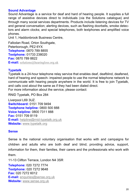#### **Sound Advantage**

Sound Advantage is a service for deaf and hard of hearing people. It supplies a full range of assistive devices direct to individuals (via the Solutions catalogue) and through many social services departments. Products include listening devices for TV and general conversation; alerting devices, such as flashing doorbells, smoke detectors and alarm clocks; and special telephones, both textphones and amplified voice phones.

Unit 1, Haddonbrook Business Centre,

Fallodan Road, Orton Southgate, Peterborough, PE2 6YX **Telephone:** 0870 789 8855 **Textphone:** 01733 238020 **Fax:** 0870 789 8822 **E-mail:** [solutions@hearingloss.org.uk](mailto:solutions@hearingloss.org.uk)

#### **Typetalk**

Typetalk is a 24-hour telephone relay service that enables deaf, deafblind, deafened, hard of hearing and speech- impaired people to use the normal telephone network to communicate with hearing people anywhere in the world. It is free to join Typetalk, and calls cost about the same as if they had been dialed direct. For more information about the service, please contact:

RNID Typetalk, PO Box 284

Liverpool L69 3UZ. **Switchboard:** 0151 709 9494 **Textphone helpline:** 0800 500 888 **Voice helpline:** 0800 7311 888 **Fax:** 0151 709 8119 **E-mail:** [helpline@rnid-typetalk.org.uk](mailto:helpline@rnid-typetalk.org.uk ) **Website:** [www.typetalk.org](http://www.typetalk.org)

#### **Sense**

Sense is the national voluntary organisation that works with and campaigns for children and adults who are both deaf and blind; providing advice, support, information for them, their families, their carers and the professionals who work with them.

11-13 Clifton Terrace, London N4 3SR

**Telephone:** 020 7272 7774 **Textphone:** 020 7272 9648 **Fax:** 020 7272 6012 **E-mail:** [enquiries@sense.org.uk](mailto:enquiries@sense.org.uk) **Website:** [www.sense.org.uk](http://www.sense.org.uk)